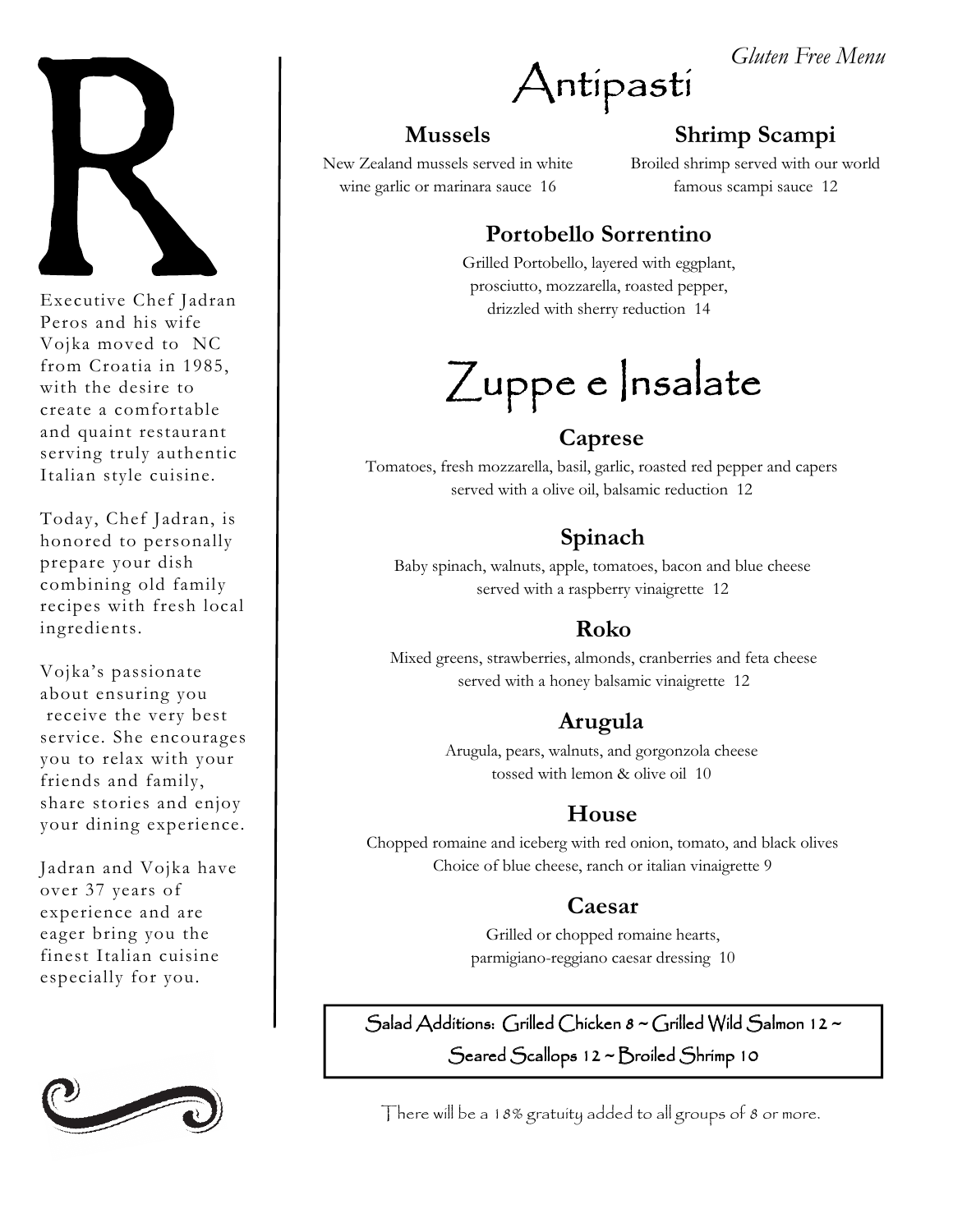

Executive Chef Jadran Peros and his wife Vojka moved to NC from Croatia in 1985, with the desire to create a comfortable and quaint restaurant serving truly authentic Italian style cuisine.

Today, Chef Jadran, is honored to personally prepare your dish combining old family recipes with fresh local ingredients.

Vojka's passionate about ensuring you receive the very best service. She encourages you to relax with your friends and family, share stories and enjoy your dining experience.

Jadran and Vojka have over 37 years of experience and are eager bring you the finest Italian cuisine especially for you.



Antipasti

#### **Mussels**

New Zealand mussels served in white wine garlic or marinara sauce 16

# **Shrimp Scampi**

*Gluten Free Menu* 

Broiled shrimp served with our world famous scampi sauce 12

# **Portobello Sorrentino**

Grilled Portobello, layered with eggplant, prosciutto, mozzarella, roasted pepper, drizzled with sherry reduction 14

# $Z$ uppe e  $|$ nsalate

# **Caprese**

Tomatoes, fresh mozzarella, basil, garlic, roasted red pepper and capers served with a olive oil, balsamic reduction 12

# **Spinach**

Baby spinach, walnuts, apple, tomatoes, bacon and blue cheese served with a raspberry vinaigrette 12

# **Roko**

Mixed greens, strawberries, almonds, cranberries and feta cheese served with a honey balsamic vinaigrette 12

# **Arugula**

Arugula, pears, walnuts, and gorgonzola cheese tossed with lemon & olive oil 10

# **House**

Chopped romaine and iceberg with red onion, tomato, and black olives Choice of blue cheese, ranch or italian vinaigrette 9

## **Caesar**

Grilled or chopped romaine hearts, parmigiano-reggiano caesar dressing 10

Salad Additions: Grilled Chicken  $8 \sim$ Grilled Wild Salmon 12  $\sim$ Seared Scallops 12 ~ Broiled Shrimp 10

There will be a 18% gratuity added to all groups of 8 or more.